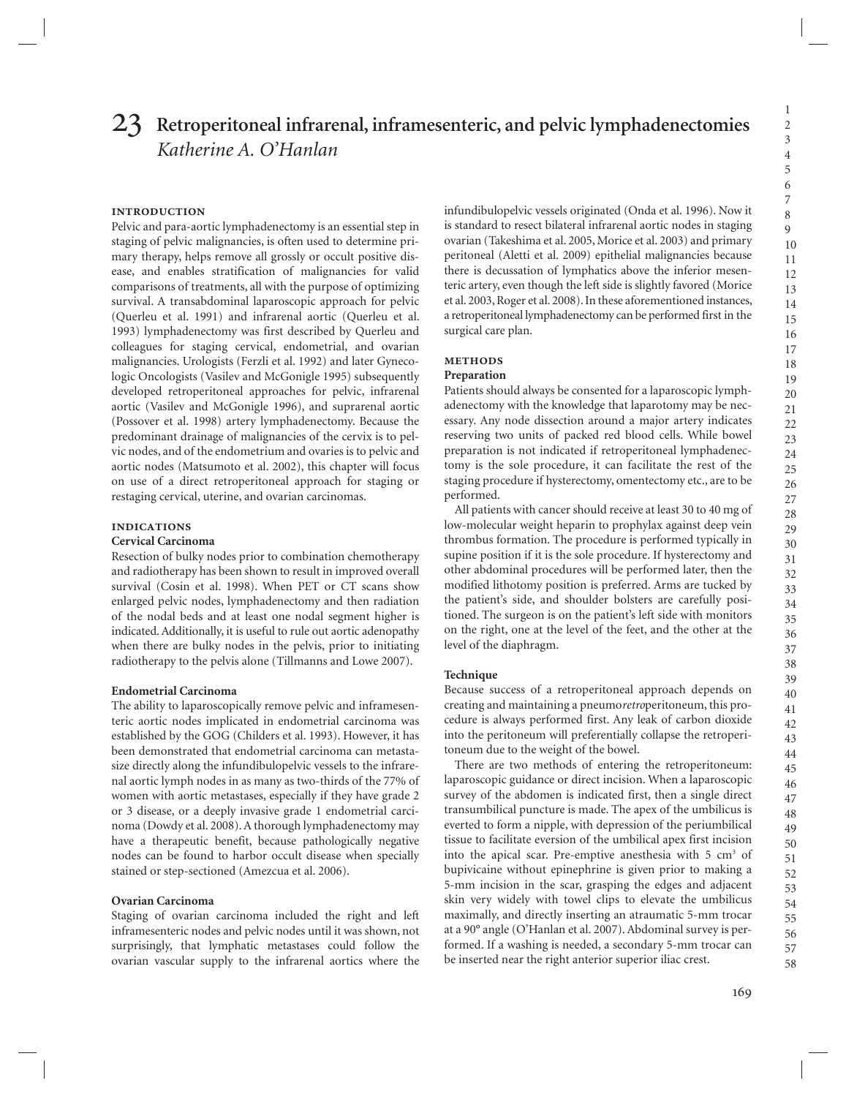#### 1 2 3 4 5 6 7 8 9 10 11 12 13 14 15 16 17 18 19 20 21 22 23 24 25 26 27 28 29 30 31 32 33 34 35 36 37 38 39 40 41 42 43 44 45 46 47 48 49 50 51 52 53 54 55

## 23 **Retroperitoneal infrarenal, inframesenteric, and pelvic lymphadenectomies**   *Katherine A. O'Hanlan*

#### **introduction**

 Pelvic and para-aortic lymphadenectomy is an essential step in staging of pelvic malignancies, is often used to determine primary therapy, helps remove all grossly or occult positive disease, and enables stratification of malignancies for valid comparisons of treatments, all with the purpose of optimizing survival. A transabdominal laparoscopic approach for pelvic (Querleu et al. 1991) and infrarenal aortic (Querleu et al. 1993) lymphadenectomy was first described by Querleu and colleagues for staging cervical, endometrial, and ovarian malignancies. Urologists (Ferzli et al. 1992) and later Gynecologic Oncologists (Vasilev and McGonigle 1995) subsequently developed retroperitoneal approaches for pelvic, infrarenal aortic (Vasilev and McGonigle 1996), and suprarenal aortic (Possover et al. 1998) artery lymphadenectomy. Because the predominant drainage of malignancies of the cervix is to pelvic nodes, and of the endometrium and ovaries is to pelvic and aortic nodes (Matsumoto et al. 2002), this chapter will focus on use of a direct retroperitoneal approach for staging or restaging cervical, uterine, and ovarian carcinomas.

#### **indications**

#### **Cervical Carcinoma**

 Resection of bulky nodes prior to combination chemotherapy and radiotherapy has been shown to result in improved overall survival (Cosin et al. 1998). When PET or CT scans show enlarged pelvic nodes, lymphadenectomy and then radiation of the nodal beds and at least one nodal segment higher is indicated. Additionally, it is useful to rule out aortic adenopathy when there are bulky nodes in the pelvis, prior to initiating radiotherapy to the pelvis alone (Tillmanns and Lowe 2007).

#### **Endometrial Carcinoma**

 The ability to laparoscopically remove pelvic and inframesenteric aortic nodes implicated in endometrial carcinoma was established by the GOG ( Childers et al. 1993 ). However, it has been demonstrated that endometrial carcinoma can metastasize directly along the infundibulopelvic vessels to the infrarenal aortic lymph nodes in as many as two-thirds of the 77% of women with aortic metastases, especially if they have grade 2 or 3 disease, or a deeply invasive grade 1 endometrial carcinoma (Dowdy et al. 2008). A thorough lymphadenectomy may have a therapeutic benefit, because pathologically negative nodes can be found to harbor occult disease when specially stained or step-sectioned (Amezcua et al. 2006).

#### **Ovarian Carcinoma**

 Staging of ovarian carcinoma included the right and left inframesenteric nodes and pelvic nodes until it was shown, not surprisingly, that lymphatic metastases could follow the ovarian vascular supply to the infrarenal aortics where the infundibulopelvic vessels originated (Onda et al. 1996). Now it is standard to resect bilateral infrarenal aortic nodes in staging ovarian ( Takeshima et al. 2005 , Morice et al. 2003 ) and primary peritoneal (Aletti et al. 2009) epithelial malignancies because there is decussation of lymphatics above the inferior mesenteric artery, even though the left side is slightly favored ( Morice et al. 2003 , Roger et al. 2008 ). In these aforementioned instances, a retroperitoneal lymphadenectomy can be performed first in the surgical care plan.

### **methods**

#### **Preparation**

 Patients should always be consented for a laparoscopic lymphadenectomy with the knowledge that laparotomy may be necessary. Any node dissection around a major artery indicates reserving two units of packed red blood cells. While bowel preparation is not indicated if retroperitoneal lymphadenectomy is the sole procedure, it can facilitate the rest of the staging procedure if hysterectomy, omentectomy etc., are to be performed.

 All patients with cancer should receive at least 30 to 40 mg of low-molecular weight heparin to prophylax against deep vein thrombus formation. The procedure is performed typically in supine position if it is the sole procedure. If hysterectomy and other abdominal procedures will be performed later, then the modified lithotomy position is preferred. Arms are tucked by the patient's side, and shoulder bolsters are carefully positioned. The surgeon is on the patient's left side with monitors on the right, one at the level of the feet, and the other at the level of the diaphragm.

#### **Technique**

 Because success of a retroperitoneal approach depends on creating and maintaining a pneumo*retroperitoneum*, this procedure is always performed first. Any leak of carbon dioxide into the peritoneum will preferentially collapse the retroperitoneum due to the weight of the bowel.

 There are two methods of entering the retroperitoneum: laparoscopic guidance or direct incision. When a laparoscopic survey of the abdomen is indicated first, then a single direct transumbilical puncture is made. The apex of the umbilicus is everted to form a nipple, with depression of the periumbilical tissue to facilitate eversion of the umbilical apex first incision into the apical scar. Pre-emptive anesthesia with  $5 \text{ cm}^3$  of bupivicaine without epinephrine is given prior to making a 5-mm incision in the scar, grasping the edges and adjacent skin very widely with towel clips to elevate the umbilicus maximally, and directly inserting an atraumatic 5-mm trocar at a 90° angle ( O'Hanlan et al. 2007 ). Abdominal survey is performed. If a washing is needed, a secondary 5-mm trocar can be inserted near the right anterior superior iliac crest.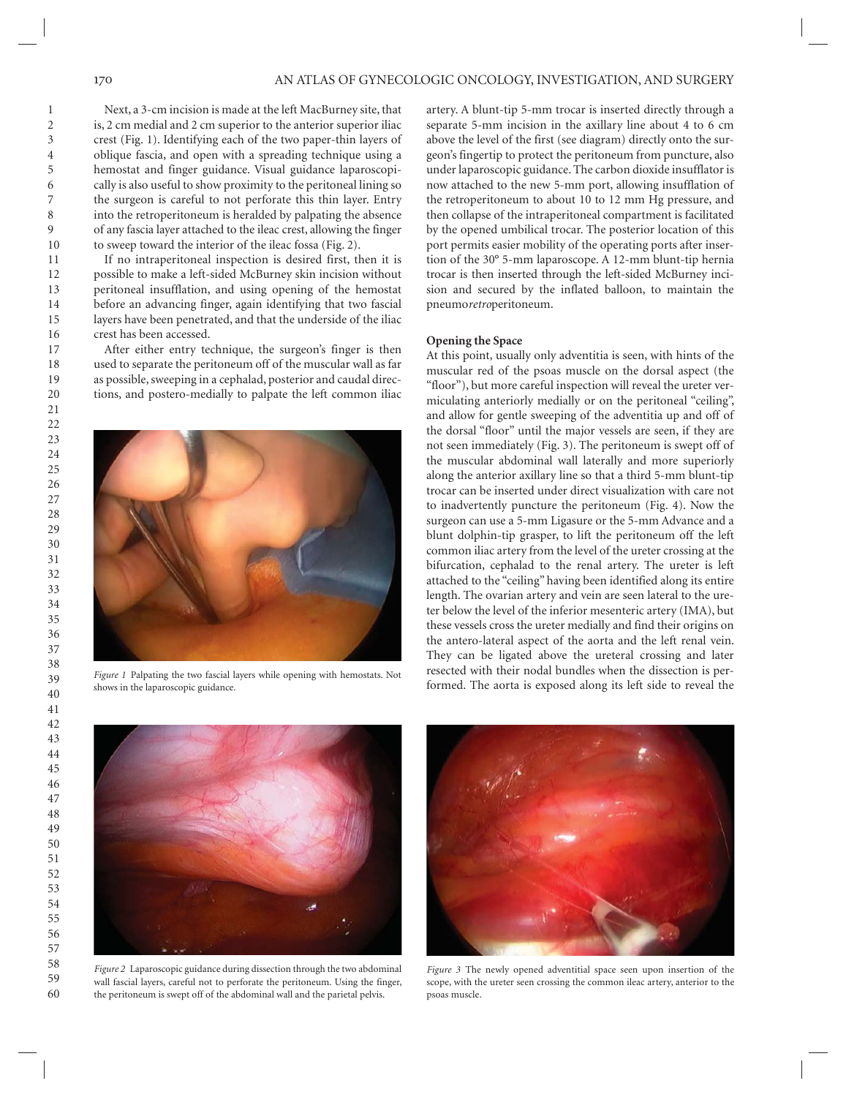Next, a 3-cm incision is made at the left MacBurney site, that is, 2 cm medial and 2 cm superior to the anterior superior iliac crest (Fig. 1). Identifying each of the two paper-thin layers of oblique fascia, and open with a spreading technique using a hemostat and finger guidance. Visual guidance laparoscopically is also useful to show proximity to the peritoneal lining so the surgeon is careful to not perforate this thin layer. Entry into the retroperitoneum is heralded by palpating the absence of any fascia layer attached to the ileac crest, allowing the finger to sweep toward the interior of the ileac fossa (Fig. 2).

 If no intraperitoneal inspection is desired first, then it is possible to make a left-sided McBurney skin incision without peritoneal insufflation, and using opening of the hemostat before an advancing finger, again identifying that two fascial layers have been penetrated, and that the underside of the iliac crest has been accessed.

 After either entry technique, the surgeon's finger is then used to separate the peritoneum off of the muscular wall as far as possible, sweeping in a cephalad, posterior and caudal directions, and postero-medially to palpate the left common iliac



shows in the laparoscopic guidance.

artery. A blunt-tip 5-mm trocar is inserted directly through a separate 5-mm incision in the axillary line about 4 to 6 cm above the level of the first (see diagram) directly onto the surgeon's fingertip to protect the peritoneum from puncture, also under laparoscopic guidance. The carbon dioxide insufflator is now attached to the new 5-mm port, allowing insufflation of the retroperitoneum to about 10 to 12 mm Hg pressure, and then collapse of the intraperitoneal compartment is facilitated by the opened umbilical trocar. The posterior location of this port permits easier mobility of the operating ports after insertion of the 30° 5-mm laparoscope. A 12-mm blunt-tip hernia trocar is then inserted through the left-sided McBurney incision and secured by the inflated balloon, to maintain the pneumo *retro* peritoneum.

#### **Opening the Space**

 At this point, usually only adventitia is seen, with hints of the muscular red of the psoas muscle on the dorsal aspect (the "floor"), but more careful inspection will reveal the ureter vermiculating anteriorly medially or on the peritoneal "ceiling", and allow for gentle sweeping of the adventitia up and off of the dorsal "floor" until the major vessels are seen, if they are not seen immediately (Fig. 3). The peritoneum is swept off of the muscular abdominal wall laterally and more superiorly along the anterior axillary line so that a third 5-mm blunt-tip trocar can be inserted under direct visualization with care not to inadvertently puncture the peritoneum (Fig. 4). Now the surgeon can use a 5-mm Ligasure or the 5-mm Advance and a blunt dolphin-tip grasper, to lift the peritoneum off the left common iliac artery from the level of the ureter crossing at the bifurcation, cephalad to the renal artery. The ureter is left attached to the "ceiling" having been identified along its entire length. The ovarian artery and vein are seen lateral to the ureter below the level of the inferior mesenteric artery (IMA), but these vessels cross the ureter medially and find their origins on the antero-lateral aspect of the aorta and the left renal vein. They can be ligated above the ureteral crossing and later resected with their nodal bundles when the dissection is per-Figure 1 Palpating the two fascial layers while opening with hemostats. Not<br>formed. The aorta is exposed along its left side to reveal the<br>formed. The aorta is exposed along its left side to reveal the



*Figure 2* Laparoscopic guidance during dissection through the two abdominal wall fascial layers, careful not to perforate the peritoneum. Using the finger, the peritoneum is swept off of the abdominal wall and the parietal pelvis.



 *Figure 3* The newly opened adventitial space seen upon insertion of the scope, with the ureter seen crossing the common ileac artery, anterior to the psoas muscle.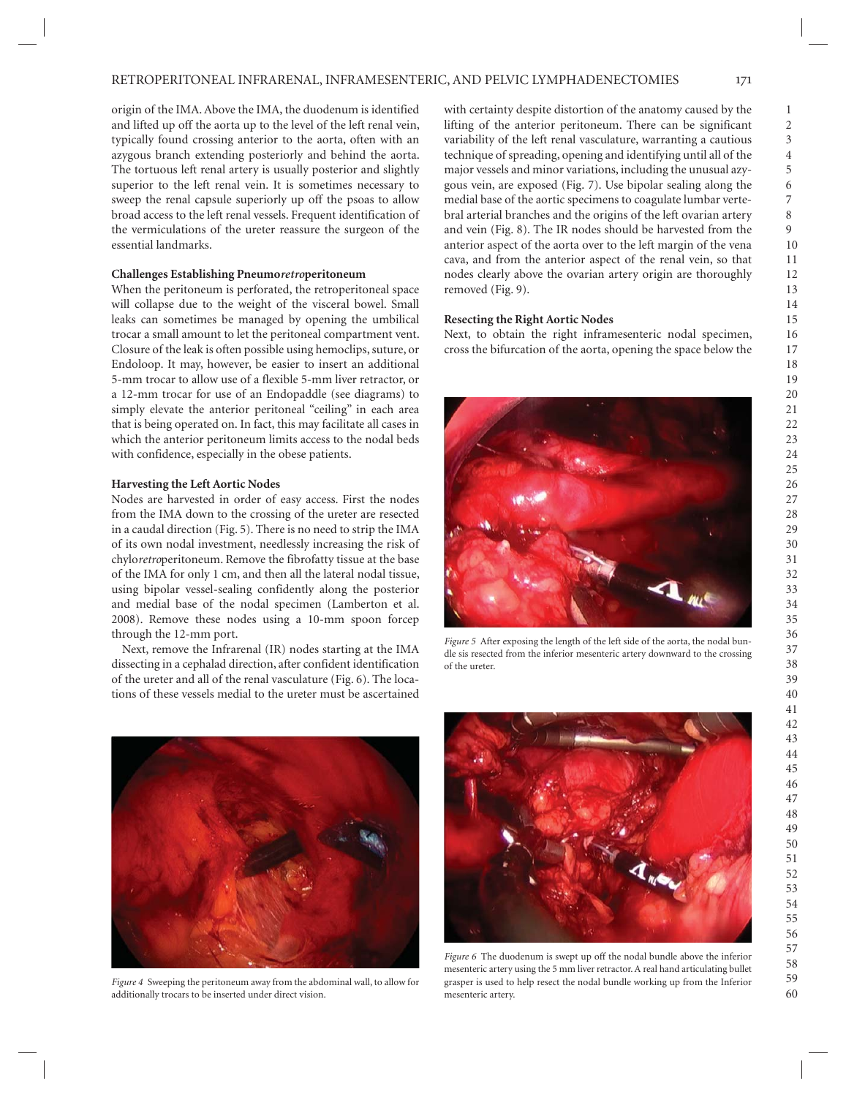origin of the IMA. Above the IMA, the duodenum is identified and lifted up off the aorta up to the level of the left renal vein, typically found crossing anterior to the aorta, often with an azygous branch extending posteriorly and behind the aorta. The tortuous left renal artery is usually posterior and slightly superior to the left renal vein. It is sometimes necessary to sweep the renal capsule superiorly up off the psoas to allow broad access to the left renal vessels. Frequent identification of the vermiculations of the ureter reassure the surgeon of the essential landmarks.

#### **Challenges Establishing Pneumo** *retro* **peritoneum**

 When the peritoneum is perforated, the retroperitoneal space will collapse due to the weight of the visceral bowel. Small leaks can sometimes be managed by opening the umbilical trocar a small amount to let the peritoneal compartment vent. Closure of the leak is often possible using hemoclips, suture, or Endoloop. It may, however, be easier to insert an additional 5-mm trocar to allow use of a flexible 5-mm liver retractor, or a 12-mm trocar for use of an Endopaddle (see diagrams) to simply elevate the anterior peritoneal "ceiling" in each area that is being operated on. In fact, this may facilitate all cases in which the anterior peritoneum limits access to the nodal beds with confidence, especially in the obese patients.

#### **Harvesting the Left Aortic Nodes**

 Nodes are harvested in order of easy access. First the nodes from the IMA down to the crossing of the ureter are resected in a caudal direction (Fig. 5). There is no need to strip the IMA of its own nodal investment, needlessly increasing the risk of chylo *retro* peritoneum. Remove the fibrofatty tissue at the base of the IMA for only 1 cm, and then all the lateral nodal tissue, using bipolar vessel-sealing confidently along the posterior and medial base of the nodal specimen (Lamberton et al. 2008). Remove these nodes using a 10-mm spoon forcep through the 12-mm port.

 Next, remove the Infrarenal (IR) nodes starting at the IMA dissecting in a cephalad direction, after confident identification of the ureter and all of the renal vasculature (Fig. 6). The locations of these vessels medial to the ureter must be ascertained with certainty despite distortion of the anatomy caused by the lifting of the anterior peritoneum. There can be significant variability of the left renal vasculature, warranting a cautious technique of spreading, opening and identifying until all of the major vessels and minor variations, including the unusual azygous vein, are exposed ( Fig. 7 ). Use bipolar sealing along the medial base of the aortic specimens to coagulate lumbar vertebral arterial branches and the origins of the left ovarian artery and vein (Fig. 8). The IR nodes should be harvested from the anterior aspect of the aorta over to the left margin of the vena cava, and from the anterior aspect of the renal vein, so that nodes clearly above the ovarian artery origin are thoroughly removed (Fig. 9).

#### **Resecting the Right Aortic Nodes**

 Next, to obtain the right inframesenteric nodal specimen, cross the bifurcation of the aorta, opening the space below the



 *Figure 5* After exposing the length of the left side of the aorta, the nodal bundle sis resected from the inferior mesenteric artery downward to the crossing of the ureter.



*Figure 4* Sweeping the peritoneum away from the abdominal wall, to allow for additionally trocars to be inserted under direct vision.



 *Figure 6* The duodenum is swept up off the nodal bundle above the inferior mesenteric artery using the 5 mm liver retractor. A real hand articulating bullet grasper is used to help resect the nodal bundle working up from the Inferior mesenteric artery.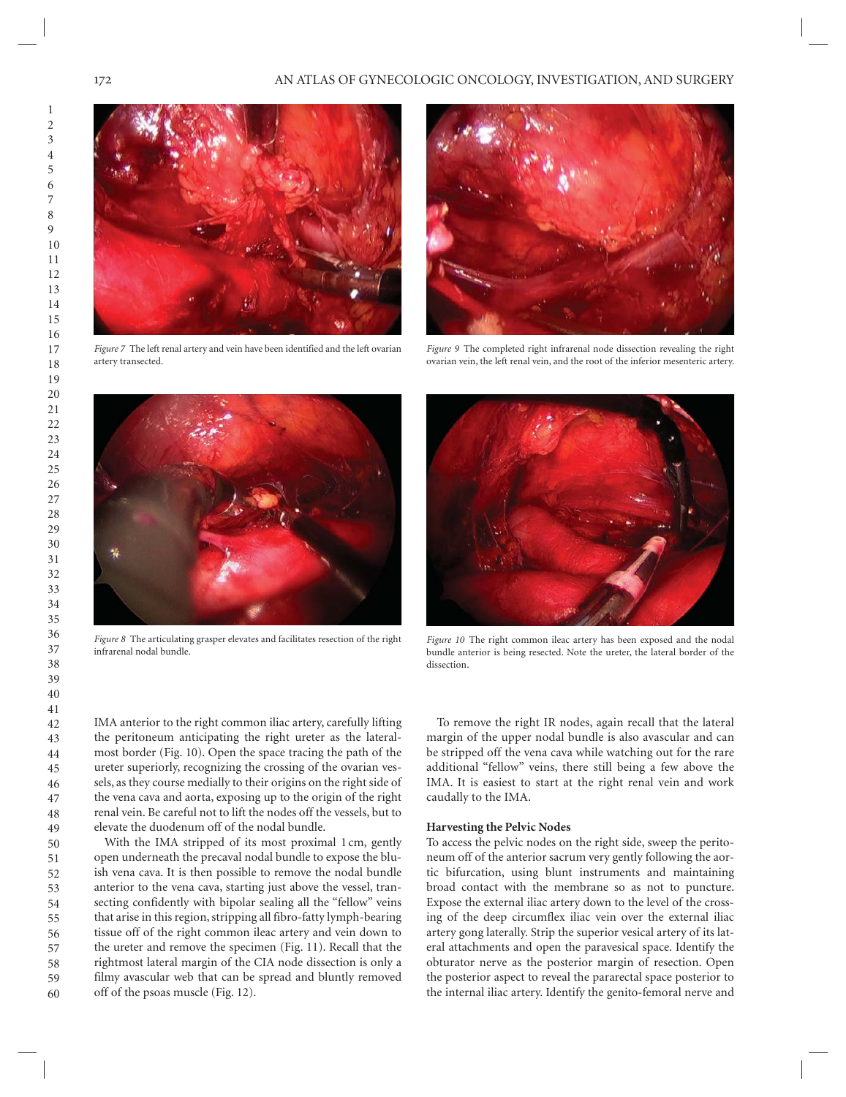

*Figure 7* The left renal artery and vein have been identified and the left ovarian artery transected.



*Figure 9* The completed right infrarenal node dissection revealing the right ovarian vein, the left renal vein, and the root of the inferior mesenteric artery.



 *Figure 8* The articulating grasper elevates and facilitates resection of the right infrarenal nodal bundle.



 *Figure 10* The right common ileac artery has been exposed and the nodal bundle anterior is being resected. Note the ureter, the lateral border of the dissection.

IMA anterior to the right common iliac artery, carefully lifting the peritoneum anticipating the right ureter as the lateralmost border (Fig. 10). Open the space tracing the path of the ureter superiorly, recognizing the crossing of the ovarian vessels, as they course medially to their origins on the right side of the vena cava and aorta, exposing up to the origin of the right renal vein. Be careful not to lift the nodes off the vessels, but to elevate the duodenum off of the nodal bundle.

 With the IMA stripped of its most proximal 1 cm, gently open underneath the precaval nodal bundle to expose the bluish vena cava. It is then possible to remove the nodal bundle anterior to the vena cava, starting just above the vessel, transecting confidently with bipolar sealing all the "fellow" veins that arise in this region, stripping all fibro-fatty lymph-bearing tissue off of the right common ileac artery and vein down to the ureter and remove the specimen (Fig. 11). Recall that the rightmost lateral margin of the CIA node dissection is only a filmy avascular web that can be spread and bluntly removed off of the psoas muscle (Fig. 12).

 To remove the right IR nodes, again recall that the lateral margin of the upper nodal bundle is also avascular and can be stripped off the vena cava while watching out for the rare additional "fellow" veins, there still being a few above the IMA. It is easiest to start at the right renal vein and work caudally to the IMA.

#### **Harvesting the Pelvic Nodes**

 To access the pelvic nodes on the right side, sweep the peritoneum off of the anterior sacrum very gently following the aortic bifurcation, using blunt instruments and maintaining broad contact with the membrane so as not to puncture. Expose the external iliac artery down to the level of the crossing of the deep circumflex iliac vein over the external iliac artery gong laterally. Strip the superior vesical artery of its lateral attachments and open the paravesical space. Identify the obturator nerve as the posterior margin of resection. Open the posterior aspect to reveal the pararectal space posterior to the internal iliac artery. Identify the genito-femoral nerve and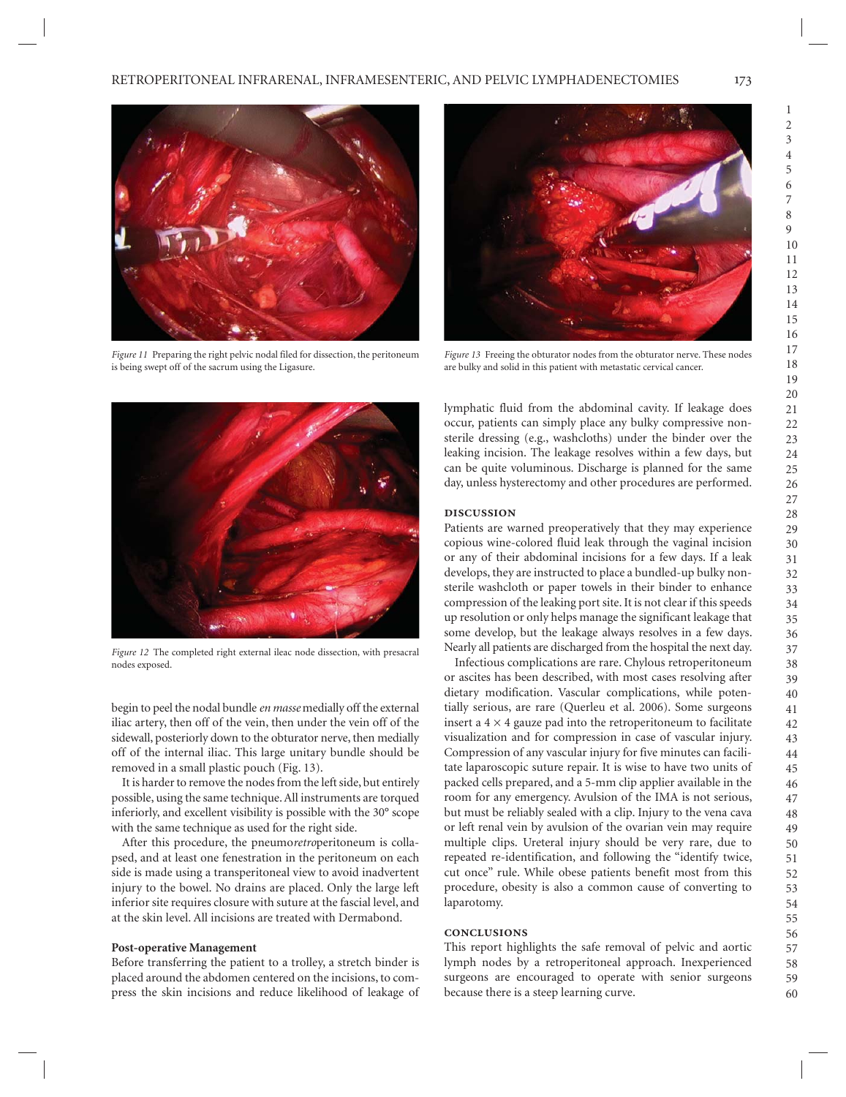

 *Figure 11* Preparing the right pelvic nodal filed for dissection, the peritoneum is being swept off of the sacrum using the Ligasure.



 *Figure 13* Freeing the obturator nodes from the obturator nerve. These nodes are bulky and solid in this patient with metastatic cervical cancer.



*Figure 12* The completed right external ileac node dissection, with presacral nodes exposed.

begin to peel the nodal bundle *en masse* medially off the external iliac artery, then off of the vein, then under the vein off of the sidewall, posteriorly down to the obturator nerve, then medially off of the internal iliac. This large unitary bundle should be removed in a small plastic pouch (Fig. 13).

 It is harder to remove the nodes from the left side, but entirely possible, using the same technique. All instruments are torqued inferiorly, and excellent visibility is possible with the 30° scope with the same technique as used for the right side.

After this procedure, the pneumoretroperitoneum is collapsed, and at least one fenestration in the peritoneum on each side is made using a transperitoneal view to avoid inadvertent injury to the bowel. No drains are placed. Only the large left inferior site requires closure with suture at the fascial level, and at the skin level. All incisions are treated with Dermabond.

#### **Post-operative Management**

 Before transferring the patient to a trolley, a stretch binder is placed around the abdomen centered on the incisions, to compress the skin incisions and reduce likelihood of leakage of lymphatic fluid from the abdominal cavity. If leakage does occur, patients can simply place any bulky compressive nonsterile dressing (e.g., washcloths) under the binder over the leaking incision. The leakage resolves within a few days, but can be quite voluminous. Discharge is planned for the same day, unless hysterectomy and other procedures are performed.

#### **discussion**

 Patients are warned preoperatively that they may experience copious wine-colored fluid leak through the vaginal incision or any of their abdominal incisions for a few days. If a leak develops, they are instructed to place a bundled-up bulky nonsterile washcloth or paper towels in their binder to enhance compression of the leaking port site. It is not clear if this speeds up resolution or only helps manage the significant leakage that some develop, but the leakage always resolves in a few days. Nearly all patients are discharged from the hospital the next day.

 Infectious complications are rare. Chylous retroperitoneum or ascites has been described, with most cases resolving after dietary modification. Vascular complications, while potentially serious, are rare (Querleu et al. 2006). Some surgeons insert a  $4 \times 4$  gauze pad into the retroperitoneum to facilitate visualization and for compression in case of vascular injury. Compression of any vascular injury for five minutes can facilitate laparoscopic suture repair. It is wise to have two units of packed cells prepared, and a 5-mm clip applier available in the room for any emergency. Avulsion of the IMA is not serious, but must be reliably sealed with a clip. Injury to the vena cava or left renal vein by avulsion of the ovarian vein may require multiple clips. Ureteral injury should be very rare, due to repeated re-identification, and following the "identify twice, cut once" rule. While obese patients benefit most from this procedure, obesity is also a common cause of converting to laparotomy.

#### **conclusions**

 This report highlights the safe removal of pelvic and aortic lymph nodes by a retroperitoneal approach. Inexperienced surgeons are encouraged to operate with senior surgeons because there is a steep learning curve.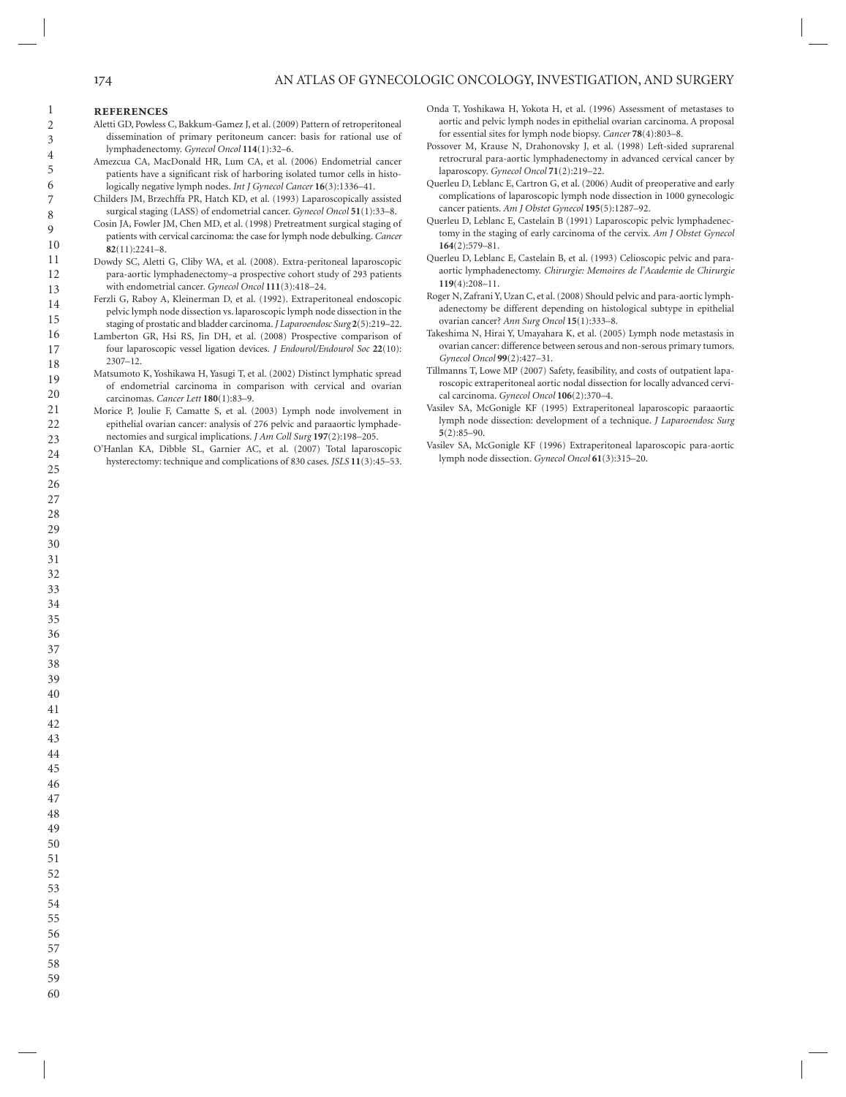#### 174 AN ATLAS OF GYNECOLOGIC ONCOLOGY, INVESTIGATION, AND SURGERY

#### **references**

- Aletti GD, Powless C, Bakkum-Gamez J, et al. (2009) Pattern of retroperitoneal dissemination of primary peritoneum cancer: basis for rational use of lymphadenectomy. *Gynecol Oncol* **114** (1):32–6.
- Amezcua CA, MacDonald HR, Lum CA, et al. (2006) Endometrial cancer patients have a significant risk of harboring isolated tumor cells in histologically negative lymph nodes. *Int J Gynecol Cancer* **16** (3):1336–41.
- Childers JM, Brzechffa PR, Hatch KD, et al. (1993) Laparoscopically assisted surgical staging (LASS) of endometrial cancer. *Gynecol Oncol* **51** (1):33–8.
- Cosin JA, Fowler JM, Chen MD, et al. (1998) Pretreatment surgical staging of patients with cervical carcinoma: the case for lymph node debulking. *Cancer* **82** (11):2241–8.
- Dowdy SC, Aletti G, Cliby WA, et al. (2008). Extra-peritoneal laparoscopic para-aortic lymphadenectomy–a prospective cohort study of 293 patients with endometrial cancer. *Gynecol Oncol* **111** (3):418–24.
- Ferzli G, Raboy A, Kleinerman D, et al. (1992). Extraperitoneal endoscopic pelvic lymph node dissection vs. laparoscopic lymph node dissection in the staging of prostatic and bladder carcinoma. *J Laparoendosc Surg* **2** (5):219–22.
- Lamberton GR, Hsi RS, Jin DH, et al. (2008) Prospective comparison of four laparoscopic vessel ligation devices. *J Endourol/Endourol Soc* **22** (10): 2307–12.
- Matsumoto K, Yoshikawa H, Yasugi T, et al. (2002) Distinct lymphatic spread of endometrial carcinoma in comparison with cervical and ovarian carcinomas. *Cancer Lett* **180** (1):83–9.
- Morice P, Joulie F, Camatte S, et al. (2003) Lymph node involvement in epithelial ovarian cancer: analysis of 276 pelvic and paraaortic lymphadenectomies and surgical implications. *J Am Coll Surg* **197** (2):198–205.
- O'Hanlan KA, Dibble SL, Garnier AC, et al. (2007) Total laparoscopic hysterectomy: technique and complications of 830 cases. *JSLS* 11(3):45-53.
- Onda T, Yoshikawa H, Yokota H, et al. (1996) Assessment of metastases to aortic and pelvic lymph nodes in epithelial ovarian carcinoma. A proposal for essential sites for lymph node biopsy. *Cancer* **78** (4):803–8.
- Possover M, Krause N, Drahonovsky J, et al. (1998) Left-sided suprarenal retrocrural para-aortic lymphadenectomy in advanced cervical cancer by laparoscopy. *Gynecol Oncol* **71** (2):219–22.
- Querleu D, Leblanc E, Cartron G, et al. (2006) Audit of preoperative and early complications of laparoscopic lymph node dissection in 1000 gynecologic cancer patients. *Am J Obstet Gynecol* **195** (5):1287–92.
- Querleu D, Leblanc E, Castelain B (1991) Laparoscopic pelvic lymphadenectomy in the staging of early carcinoma of the cervix. *Am J Obstet Gynecol* **164** (2):579–81.
- Querleu D, Leblanc E, Castelain B, et al. (1993) Celioscopic pelvic and paraaortic lymphadenectomy. *Chirurgie: Memoires de l'Academie de Chirurgie* **119** (4):208–11.
- Roger N, Zafrani Y, Uzan C, et al. (2008) Should pelvic and para-aortic lymphadenectomy be different depending on histological subtype in epithelial ovarian cancer? *Ann Surg Oncol* **15** (1):333–8.
- Takeshima N, Hirai Y, Umayahara K, et al. (2005) Lymph node metastasis in ovarian cancer: difference between serous and non-serous primary tumors. *Gynecol Oncol* **99** (2):427–31.
- Tillmanns T, Lowe MP (2007) Safety, feasibility, and costs of outpatient laparoscopic extraperitoneal aortic nodal dissection for locally advanced cervical carcinoma. *Gynecol Oncol* **106** (2):370–4.
- Vasilev SA, McGonigle KF (1995) Extraperitoneal laparoscopic paraaortic lymph node dissection: development of a technique. *J Laparoendosc Surg* **5** (2):85–90.
- Vasilev SA, McGonigle KF (1996) Extraperitoneal laparoscopic para-aortic lymph node dissection. *Gynecol Oncol* **61** (3):315–20.